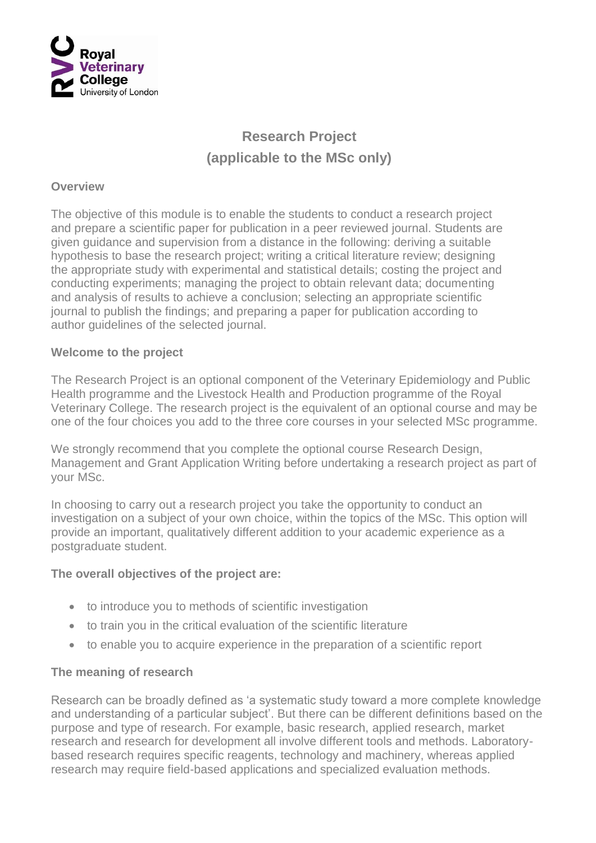

# **Research Project (applicable to the MSc only)**

#### **Overview**

The objective of this module is to enable the students to conduct a research project and prepare a scientific paper for publication in a peer reviewed journal. Students are given guidance and supervision from a distance in the following: deriving a suitable hypothesis to base the research project; writing a critical literature review; designing the appropriate study with experimental and statistical details; costing the project and conducting experiments; managing the project to obtain relevant data; documenting and analysis of results to achieve a conclusion; selecting an appropriate scientific journal to publish the findings; and preparing a paper for publication according to author guidelines of the selected journal.

#### **Welcome to the project**

The Research Project is an optional component of the Veterinary Epidemiology and Public Health programme and the Livestock Health and Production programme of the Royal Veterinary College. The research project is the equivalent of an optional course and may be one of the four choices you add to the three core courses in your selected MSc programme.

We strongly recommend that you complete the optional course Research Design, Management and Grant Application Writing before undertaking a research project as part of your MSc.

In choosing to carry out a research project you take the opportunity to conduct an investigation on a subject of your own choice, within the topics of the MSc. This option will provide an important, qualitatively different addition to your academic experience as a postgraduate student.

## **The overall objectives of the project are:**

- to introduce you to methods of scientific investigation
- to train you in the critical evaluation of the scientific literature
- to enable you to acquire experience in the preparation of a scientific report

#### **The meaning of research**

Research can be broadly defined as 'a systematic study toward a more complete knowledge and understanding of a particular subject'. But there can be different definitions based on the purpose and type of research. For example, basic research, applied research, market research and research for development all involve different tools and methods. Laboratorybased research requires specific reagents, technology and machinery, whereas applied research may require field-based applications and specialized evaluation methods.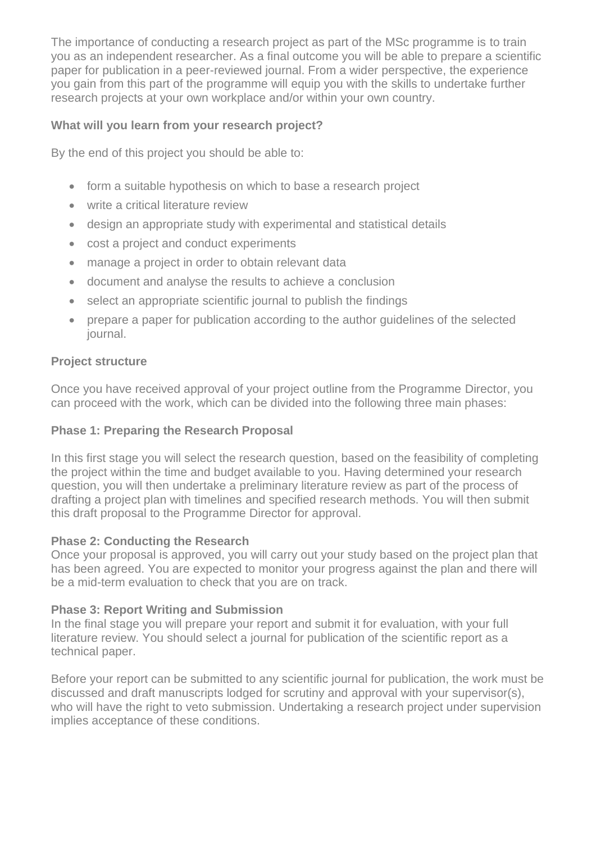The importance of conducting a research project as part of the MSc programme is to train you as an independent researcher. As a final outcome you will be able to prepare a scientific paper for publication in a peer-reviewed journal. From a wider perspective, the experience you gain from this part of the programme will equip you with the skills to undertake further research projects at your own workplace and/or within your own country.

# **What will you learn from your research project?**

By the end of this project you should be able to:

- form a suitable hypothesis on which to base a research project
- write a critical literature review
- design an appropriate study with experimental and statistical details
- cost a project and conduct experiments
- manage a project in order to obtain relevant data
- document and analyse the results to achieve a conclusion
- select an appropriate scientific journal to publish the findings
- prepare a paper for publication according to the author guidelines of the selected journal.

# **Project structure**

Once you have received approval of your project outline from the Programme Director, you can proceed with the work, which can be divided into the following three main phases:

## **Phase 1: Preparing the Research Proposal**

In this first stage you will select the research question, based on the feasibility of completing the project within the time and budget available to you. Having determined your research question, you will then undertake a preliminary literature review as part of the process of drafting a project plan with timelines and specified research methods. You will then submit this draft proposal to the Programme Director for approval.

## **Phase 2: Conducting the Research**

Once your proposal is approved, you will carry out your study based on the project plan that has been agreed. You are expected to monitor your progress against the plan and there will be a mid-term evaluation to check that you are on track.

# **Phase 3: Report Writing and Submission**

In the final stage you will prepare your report and submit it for evaluation, with your full literature review. You should select a journal for publication of the scientific report as a technical paper.

Before your report can be submitted to any scientific journal for publication, the work must be discussed and draft manuscripts lodged for scrutiny and approval with your supervisor(s), who will have the right to veto submission. Undertaking a research project under supervision implies acceptance of these conditions.